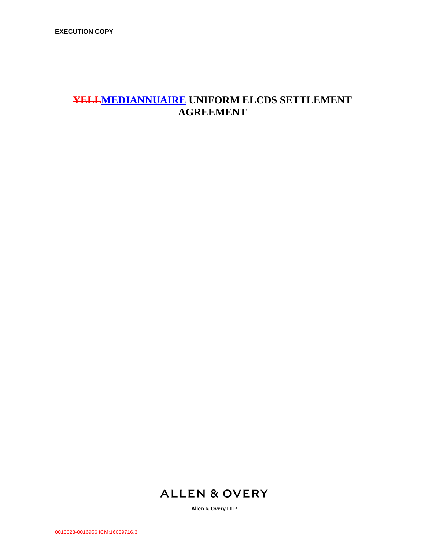# **YELLMEDIANNUAIRE UNIFORM ELCDS SETTLEMENT AGREEMENT**

# **ALLEN & OVERY**

**Allen & Overy LLP**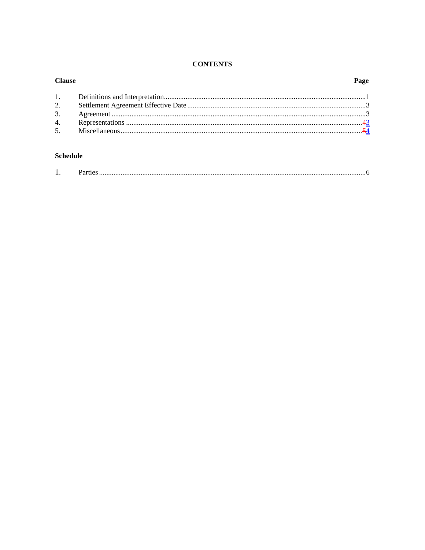# **CONTENTS**

| <b>Clause</b>  |  |
|----------------|--|
| 1.             |  |
| 2.             |  |
| 3.             |  |
| 4.             |  |
| 5 <sub>1</sub> |  |
|                |  |

# **Schedule**

| . . | ىدىنىنىنىنىنىنىنىنىنىنىنىنىنى ئالىيەت ئالىيەت ئالىيەت ئالىيەت ئالىيەت ئالىيەت ئالىيەت ئالىيەت ئالىيەت ئالىيەت ئ |
|-----|-----------------------------------------------------------------------------------------------------------------|
|     |                                                                                                                 |

# $\mathbf{p}_i$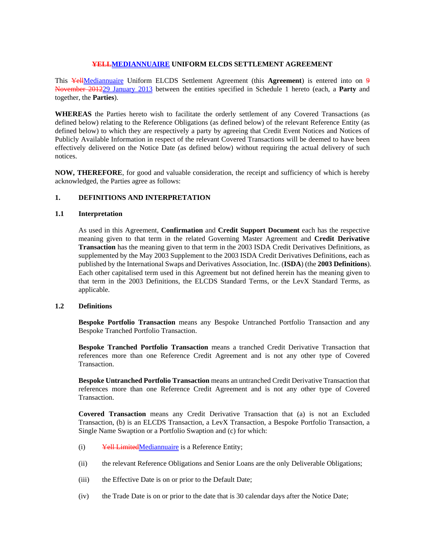## **YELLMEDIANNUAIRE UNIFORM ELCDS SETTLEMENT AGREEMENT**

This YellMediannuaire Uniform ELCDS Settlement Agreement (this **Agreement**) is entered into on 9 November 201229 January 2013 between the entities specified in Schedule 1 hereto (each, a **Party** and together, the **Parties**).

**WHEREAS** the Parties hereto wish to facilitate the orderly settlement of any Covered Transactions (as defined below) relating to the Reference Obligations (as defined below) of the relevant Reference Entity (as defined below) to which they are respectively a party by agreeing that Credit Event Notices and Notices of Publicly Available Information in respect of the relevant Covered Transactions will be deemed to have been effectively delivered on the Notice Date (as defined below) without requiring the actual delivery of such notices.

**NOW, THEREFORE**, for good and valuable consideration, the receipt and sufficiency of which is hereby acknowledged, the Parties agree as follows:

### **1. DEFINITIONS AND INTERPRETATION**

## **1.1 Interpretation**

As used in this Agreement, **Confirmation** and **Credit Support Document** each has the respective meaning given to that term in the related Governing Master Agreement and **Credit Derivative Transaction** has the meaning given to that term in the 2003 ISDA Credit Derivatives Definitions, as supplemented by the May 2003 Supplement to the 2003 ISDA Credit Derivatives Definitions, each as published by the International Swaps and Derivatives Association, Inc. (**ISDA**) (the **2003 Definitions**). Each other capitalised term used in this Agreement but not defined herein has the meaning given to that term in the 2003 Definitions, the ELCDS Standard Terms, or the LevX Standard Terms, as applicable.

### **1.2 Definitions**

**Bespoke Portfolio Transaction** means any Bespoke Untranched Portfolio Transaction and any Bespoke Tranched Portfolio Transaction.

**Bespoke Tranched Portfolio Transaction** means a tranched Credit Derivative Transaction that references more than one Reference Credit Agreement and is not any other type of Covered Transaction.

**Bespoke Untranched Portfolio Transaction** means an untranched Credit Derivative Transaction that references more than one Reference Credit Agreement and is not any other type of Covered Transaction.

**Covered Transaction** means any Credit Derivative Transaction that (a) is not an Excluded Transaction, (b) is an ELCDS Transaction, a LevX Transaction, a Bespoke Portfolio Transaction, a Single Name Swaption or a Portfolio Swaption and (c) for which:

- (i) Yell LimitedMediannuaire is a Reference Entity;
- (ii) the relevant Reference Obligations and Senior Loans are the only Deliverable Obligations;
- (iii) the Effective Date is on or prior to the Default Date;
- (iv) the Trade Date is on or prior to the date that is 30 calendar days after the Notice Date;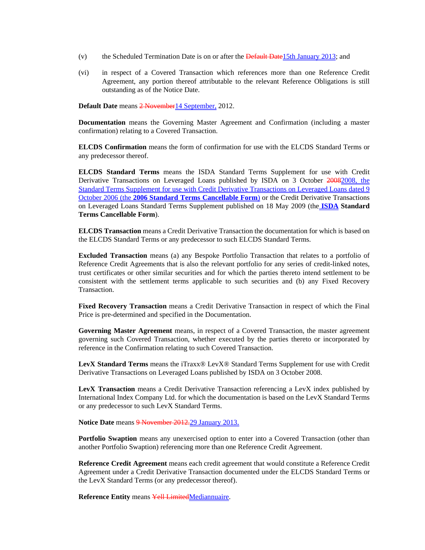- (v) the Scheduled Termination Date is on or after the  $\frac{Default \text{ Date}}{15th \text{ January } 2013}$ ; and
- (vi) in respect of a Covered Transaction which references more than one Reference Credit Agreement, any portion thereof attributable to the relevant Reference Obligations is still outstanding as of the Notice Date.

**Default Date** means 2 November 14 September, 2012.

**Documentation** means the Governing Master Agreement and Confirmation (including a master confirmation) relating to a Covered Transaction.

**ELCDS Confirmation** means the form of confirmation for use with the ELCDS Standard Terms or any predecessor thereof.

**ELCDS Standard Terms** means the ISDA Standard Terms Supplement for use with Credit Derivative Transactions on Leveraged Loans published by ISDA on 3 October 20082008, the Standard Terms Supplement for use with Credit Derivative Transactions on Leveraged Loans dated 9 October 2006 (the **2006 Standard Terms Cancellable Form**) or the Credit Derivative Transactions on Leveraged Loans Standard Terms Supplement published on 18 May 2009 (the **ISDA Standard Terms Cancellable Form**).

**ELCDS Transaction** means a Credit Derivative Transaction the documentation for which is based on the ELCDS Standard Terms or any predecessor to such ELCDS Standard Terms.

**Excluded Transaction** means (a) any Bespoke Portfolio Transaction that relates to a portfolio of Reference Credit Agreements that is also the relevant portfolio for any series of credit-linked notes, trust certificates or other similar securities and for which the parties thereto intend settlement to be consistent with the settlement terms applicable to such securities and (b) any Fixed Recovery Transaction.

**Fixed Recovery Transaction** means a Credit Derivative Transaction in respect of which the Final Price is pre-determined and specified in the Documentation.

**Governing Master Agreement** means, in respect of a Covered Transaction, the master agreement governing such Covered Transaction, whether executed by the parties thereto or incorporated by reference in the Confirmation relating to such Covered Transaction.

**LevX Standard Terms** means the iTraxx® LevX® Standard Terms Supplement for use with Credit Derivative Transactions on Leveraged Loans published by ISDA on 3 October 2008.

**LevX Transaction** means a Credit Derivative Transaction referencing a LevX index published by International Index Company Ltd. for which the documentation is based on the LevX Standard Terms or any predecessor to such LevX Standard Terms.

Notice Date means 9 November 2012.29 January 2013.

**Portfolio Swaption** means any unexercised option to enter into a Covered Transaction (other than another Portfolio Swaption) referencing more than one Reference Credit Agreement.

**Reference Credit Agreement** means each credit agreement that would constitute a Reference Credit Agreement under a Credit Derivative Transaction documented under the ELCDS Standard Terms or the LevX Standard Terms (or any predecessor thereof).

**Reference Entity** means Yell LimitedMediannuaire.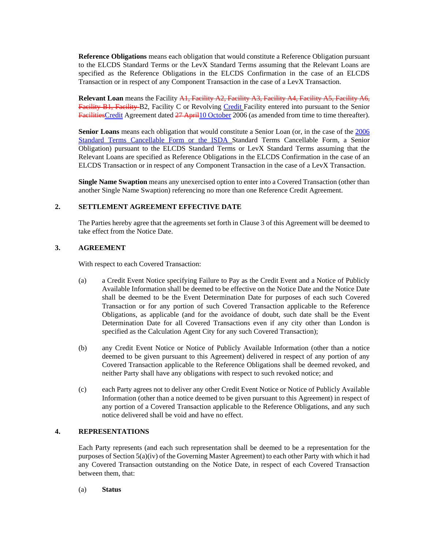**Reference Obligations** means each obligation that would constitute a Reference Obligation pursuant to the ELCDS Standard Terms or the LevX Standard Terms assuming that the Relevant Loans are specified as the Reference Obligations in the ELCDS Confirmation in the case of an ELCDS Transaction or in respect of any Component Transaction in the case of a LevX Transaction.

**Relevant Loan** means the Facility A1, Facility A2, Facility A3, Facility A4, Facility A5, Facility A6, Facility B1, Facility B2, Facility C or Revolving Credit Facility entered into pursuant to the Senior FacilitiesCredit Agreement dated 27 April 10 October 2006 (as amended from time to time thereafter).

**Senior Loans** means each obligation that would constitute a Senior Loan (or, in the case of the 2006 Standard Terms Cancellable Form or the ISDA Standard Terms Cancellable Form, a Senior Obligation) pursuant to the ELCDS Standard Terms or LevX Standard Terms assuming that the Relevant Loans are specified as Reference Obligations in the ELCDS Confirmation in the case of an ELCDS Transaction or in respect of any Component Transaction in the case of a LevX Transaction.

**Single Name Swaption** means any unexercised option to enter into a Covered Transaction (other than another Single Name Swaption) referencing no more than one Reference Credit Agreement.

## **2. SETTLEMENT AGREEMENT EFFECTIVE DATE**

The Parties hereby agree that the agreements set forth in Clause 3 of this Agreement will be deemed to take effect from the Notice Date.

#### **3. AGREEMENT**

With respect to each Covered Transaction:

- (a) a Credit Event Notice specifying Failure to Pay as the Credit Event and a Notice of Publicly Available Information shall be deemed to be effective on the Notice Date and the Notice Date shall be deemed to be the Event Determination Date for purposes of each such Covered Transaction or for any portion of such Covered Transaction applicable to the Reference Obligations, as applicable (and for the avoidance of doubt, such date shall be the Event Determination Date for all Covered Transactions even if any city other than London is specified as the Calculation Agent City for any such Covered Transaction);
- (b) any Credit Event Notice or Notice of Publicly Available Information (other than a notice deemed to be given pursuant to this Agreement) delivered in respect of any portion of any Covered Transaction applicable to the Reference Obligations shall be deemed revoked, and neither Party shall have any obligations with respect to such revoked notice; and
- (c) each Party agrees not to deliver any other Credit Event Notice or Notice of Publicly Available Information (other than a notice deemed to be given pursuant to this Agreement) in respect of any portion of a Covered Transaction applicable to the Reference Obligations, and any such notice delivered shall be void and have no effect.

# **4. REPRESENTATIONS**

Each Party represents (and each such representation shall be deemed to be a representation for the purposes of Section 5(a)(iv) of the Governing Master Agreement) to each other Party with which it had any Covered Transaction outstanding on the Notice Date, in respect of each Covered Transaction between them, that:

(a) **Status**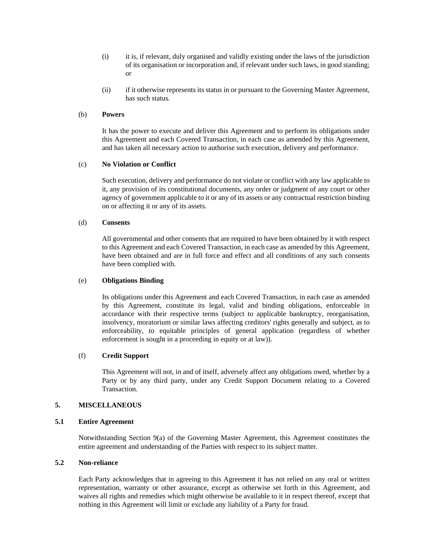- (i) it is, if relevant, duly organised and validly existing under the laws of the jurisdiction of its organisation or incorporation and, if relevant under such laws, in good standing; or
- (ii) if it otherwise represents its status in or pursuant to the Governing Master Agreement, has such status.

#### (b) **Powers**

It has the power to execute and deliver this Agreement and to perform its obligations under this Agreement and each Covered Transaction, in each case as amended by this Agreement, and has taken all necessary action to authorise such execution, delivery and performance.

#### (c) **No Violation or Conflict**

Such execution, delivery and performance do not violate or conflict with any law applicable to it, any provision of its constitutional documents, any order or judgment of any court or other agency of government applicable to it or any of its assets or any contractual restriction binding on or affecting it or any of its assets.

#### (d) **Consents**

All governmental and other consents that are required to have been obtained by it with respect to this Agreement and each Covered Transaction, in each case as amended by this Agreement, have been obtained and are in full force and effect and all conditions of any such consents have been complied with.

### (e) **Obligations Binding**

Its obligations under this Agreement and each Covered Transaction, in each case as amended by this Agreement, constitute its legal, valid and binding obligations, enforceable in accordance with their respective terms (subject to applicable bankruptcy, reorganisation, insolvency, moratorium or similar laws affecting creditors' rights generally and subject, as to enforceability, to equitable principles of general application (regardless of whether enforcement is sought in a proceeding in equity or at law)).

#### (f) **Credit Support**

This Agreement will not, in and of itself, adversely affect any obligations owed, whether by a Party or by any third party, under any Credit Support Document relating to a Covered Transaction.

### **5. MISCELLANEOUS**

#### **5.1 Entire Agreement**

Notwithstanding Section 9(a) of the Governing Master Agreement, this Agreement constitutes the entire agreement and understanding of the Parties with respect to its subject matter.

## **5.2 Non-reliance**

Each Party acknowledges that in agreeing to this Agreement it has not relied on any oral or written representation, warranty or other assurance, except as otherwise set forth in this Agreement, and waives all rights and remedies which might otherwise be available to it in respect thereof, except that nothing in this Agreement will limit or exclude any liability of a Party for fraud.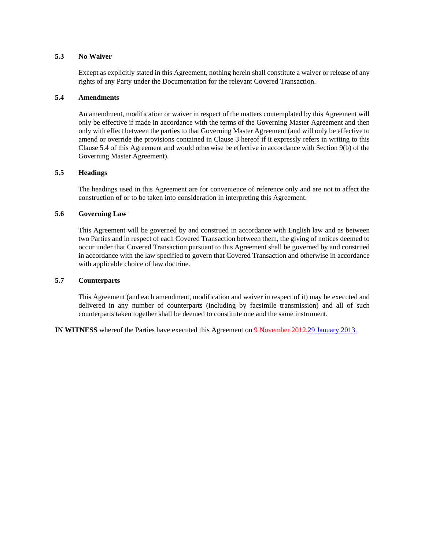#### **5.3 No Waiver**

Except as explicitly stated in this Agreement, nothing herein shall constitute a waiver or release of any rights of any Party under the Documentation for the relevant Covered Transaction.

#### **5.4 Amendments**

An amendment, modification or waiver in respect of the matters contemplated by this Agreement will only be effective if made in accordance with the terms of the Governing Master Agreement and then only with effect between the parties to that Governing Master Agreement (and will only be effective to amend or override the provisions contained in Clause 3 hereof if it expressly refers in writing to this Clause 5.4 of this Agreement and would otherwise be effective in accordance with Section 9(b) of the Governing Master Agreement).

## **5.5 Headings**

The headings used in this Agreement are for convenience of reference only and are not to affect the construction of or to be taken into consideration in interpreting this Agreement.

## **5.6 Governing Law**

This Agreement will be governed by and construed in accordance with English law and as between two Parties and in respect of each Covered Transaction between them, the giving of notices deemed to occur under that Covered Transaction pursuant to this Agreement shall be governed by and construed in accordance with the law specified to govern that Covered Transaction and otherwise in accordance with applicable choice of law doctrine.

#### **5.7 Counterparts**

This Agreement (and each amendment, modification and waiver in respect of it) may be executed and delivered in any number of counterparts (including by facsimile transmission) and all of such counterparts taken together shall be deemed to constitute one and the same instrument.

**IN WITNESS** whereof the Parties have executed this Agreement on 9 November 2012.29 January 2013.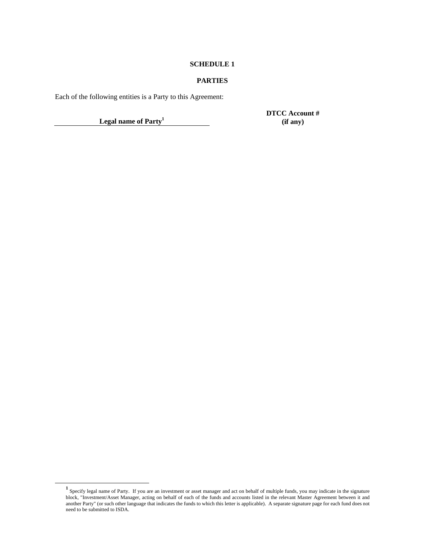### **SCHEDULE 1**

# **PARTIES**

Each of the following entities is a Party to this Agreement:

**Legal name of Party<sup>1</sup>**

**DTCC Account # (if any)** 

<sup>&</sup>lt;sup>1</sup> Specify legal name of Party. If you are an investment or asset manager and act on behalf of multiple funds, you may indicate in the signature block, "Investment/Asset Manager, acting on behalf of each of the funds and accounts listed in the relevant Master Agreement between it and another Party" (or such other language that indicates the funds to which this letter is applicable). A separate signature page for each fund does not need to be submitted to ISDA.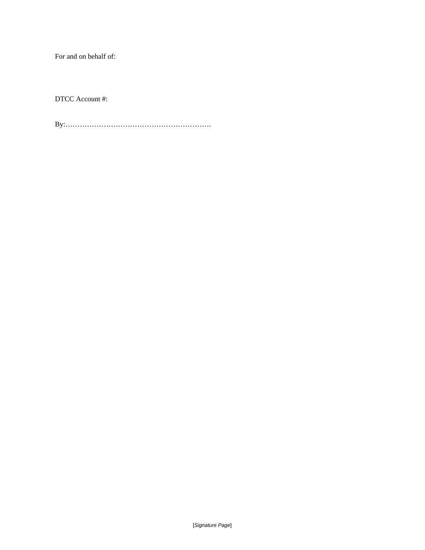For and on behalf of:

DTCC Account #:

By:…………………………………………………….